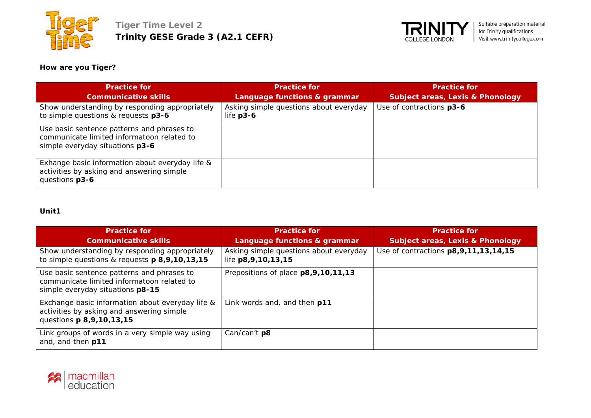



# **How are you Tiger?**

| <b>Practice for</b>                                                                                                         | <b>Practice for</b>                                 | <b>Practice for</b>                         |
|-----------------------------------------------------------------------------------------------------------------------------|-----------------------------------------------------|---------------------------------------------|
| <b>Communicative skills</b>                                                                                                 | Language functions & grammar                        | <b>Subject areas, Lexis &amp; Phonology</b> |
| Show understanding by responding appropriately<br>to simple questions & requests p3-6                                       | Asking simple questions about everyday<br>life p3-6 | Use of contractions p3-6                    |
| Use basic sentence patterns and phrases to<br>communicate limited informatoon related to<br>simple everyday situations p3-6 |                                                     |                                             |
| Exhange basic information about everyday life &<br>activities by asking and answering simple<br>questions p3-6              |                                                     |                                             |

# **Unit1**

| <b>Practice for</b>                                                                                                              | <b>Practice for</b>                                              | <b>Practice for</b>                         |
|----------------------------------------------------------------------------------------------------------------------------------|------------------------------------------------------------------|---------------------------------------------|
| <b>Communicative skills</b>                                                                                                      | Language functions & grammar                                     | <b>Subject areas, Lexis &amp; Phonology</b> |
| Show understanding by responding appropriately<br>to simple questions & requests p 8,9,10,13,15                                  | Asking simple questions about everyday<br>life p8, 9, 10, 13, 15 | Use of contractions p8, 9, 11, 13, 14, 15   |
| Use basic sentence patterns and phrases to<br>communicate limited informatoon related to<br>simple everyday situations p8-15     | Prepositions of place p8,9,10,11,13                              |                                             |
| Exchange basic information about everyday life &<br>activities by asking and answering simple<br>questions <b>p 8,9,10,13,15</b> | Link words and, and then p11                                     |                                             |
| Link groups of words in a very simple way using<br>and, and then p11                                                             | Can/can't p8                                                     |                                             |

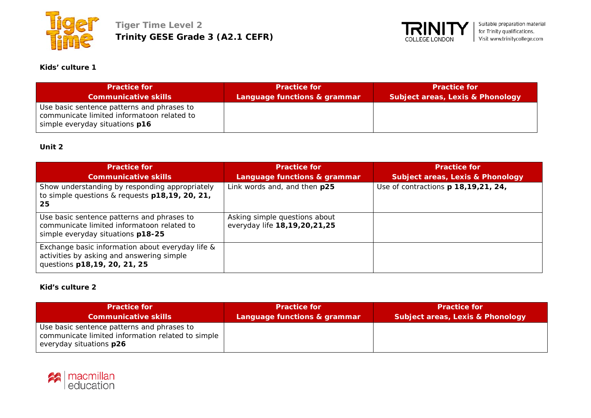



# **Kids' culture 1**

| <b>Practice for</b>                                                                                                        | <b>Practice for</b>          | <b>Practice for</b>                         |
|----------------------------------------------------------------------------------------------------------------------------|------------------------------|---------------------------------------------|
| <b>Communicative skills</b>                                                                                                | Language functions & grammar | <b>Subject areas, Lexis &amp; Phonology</b> |
| Use basic sentence patterns and phrases to<br>communicate limited informatoon related to<br>simple everyday situations p16 |                              |                                             |

### **Unit 2**

| <b>Practice for</b><br><b>Communicative skills</b>                                                                            | <b>Practice for</b><br>Language functions & grammar           | <b>Practice for</b><br><b>Subject areas, Lexis &amp; Phonology</b> |
|-------------------------------------------------------------------------------------------------------------------------------|---------------------------------------------------------------|--------------------------------------------------------------------|
| Show understanding by responding appropriately<br>to simple questions & requests p18,19, 20, 21,<br>-25                       | Link words and, and then p25                                  | Use of contractions p 18,19,21, 24,                                |
| Use basic sentence patterns and phrases to<br>communicate limited informatoon related to<br>simple everyday situations p18-25 | Asking simple questions about<br>everyday life 18,19,20,21,25 |                                                                    |
| Exchange basic information about everyday life &<br>activities by asking and answering simple<br>questions p18,19, 20, 21, 25 |                                                               |                                                                    |

## **Kid's culture 2**

| <b>Practice for</b>                                                                                                        | <b>Practice for</b>          | <b>Practice for</b>                         |
|----------------------------------------------------------------------------------------------------------------------------|------------------------------|---------------------------------------------|
| <b>Communicative skills</b>                                                                                                | Language functions & grammar | <b>Subject areas, Lexis &amp; Phonology</b> |
| Use basic sentence patterns and phrases to<br>communicate limited information related to simple<br>everyday situations p26 |                              |                                             |

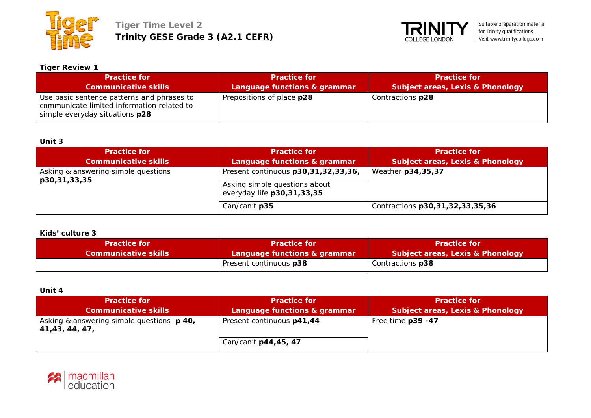



#### **Tiger Review 1**

| <b>Practice for</b>                                                                                                        | <b>Practice for</b>          | <b>Practice for</b>              |
|----------------------------------------------------------------------------------------------------------------------------|------------------------------|----------------------------------|
| <b>Communicative skills</b>                                                                                                | Language functions & grammar | Subject areas, Lexis & Phonology |
| Use basic sentence patterns and phrases to<br>communicate limited information related to<br>simple everyday situations p28 | Prepositions of place p28    | Contractions p28                 |

#### **Unit 3**

| <b>Practice for</b><br><b>Communicative skills</b>  | <b>Practice for</b><br>Language functions & grammar                                                | <b>Practice for</b><br><b>Subject areas, Lexis &amp; Phonology</b> |
|-----------------------------------------------------|----------------------------------------------------------------------------------------------------|--------------------------------------------------------------------|
| Asking & answering simple questions<br>p30,31,33,35 | Present continuous p30,31,32,33,36,<br>Asking simple questions about<br>everyday life p30,31,33,35 | Weather p34,35,37                                                  |
|                                                     | Can/can't p35                                                                                      | Contractions p30,31,32,33,35,36                                    |

#### **Kids' culture 3**

| <b>Practice for</b>         | <b>Practice for</b>          | <b>Practice for</b>                         |
|-----------------------------|------------------------------|---------------------------------------------|
| <b>Communicative skills</b> | Language functions & grammar | <b>Subject areas, Lexis &amp; Phonology</b> |
|                             | Present continuous p38       | Contractions p38                            |

## **Unit 4**

| <b>Practice for </b><br><b>Communicative skills</b>                 | <b>Practice for</b><br>Language functions & grammar | <b>Practice for</b><br><b>Subject areas, Lexis &amp; Phonology</b> |
|---------------------------------------------------------------------|-----------------------------------------------------|--------------------------------------------------------------------|
| Asking & answering simple questions <b>p 40</b> ,<br>41,43, 44, 47, | Present continuous p41,44                           | Free time p39 -47                                                  |
|                                                                     | Can/can't p44,45, 47                                |                                                                    |

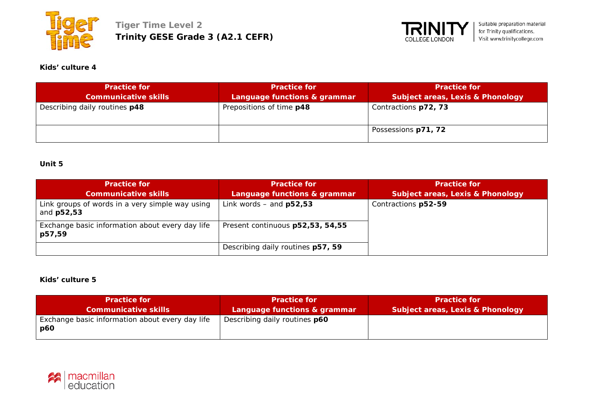



# **Kids' culture 4**

| <b>Practice for</b>           | <b>Practice for</b>          | <b>Practice for</b>                         |
|-------------------------------|------------------------------|---------------------------------------------|
| <b>Communicative skills</b>   | Language functions & grammar | <b>Subject areas, Lexis &amp; Phonology</b> |
| Describing daily routines p48 | Prepositions of time p48     | Contractions p72, 73                        |
|                               |                              | Possessions p71, 72                         |

## **Unit 5**

| <b>Practice for</b><br><b>Communicative skills</b>            | <b>Practice for</b><br>Language functions & grammar | <b>Practice for</b><br><b>Subject areas, Lexis &amp; Phonology</b> |
|---------------------------------------------------------------|-----------------------------------------------------|--------------------------------------------------------------------|
| Link groups of words in a very simple way using<br>and p52,53 | Link words $-$ and $p52,53$                         | Contractions p52-59                                                |
| Exchange basic information about every day life<br>p57,59     | Present continuous p52,53, 54,55                    |                                                                    |
|                                                               | Describing daily routines p57, 59                   |                                                                    |

#### **Kids' culture 5**

| <b>Practice for</b>                                           | <b>Practice for</b>                  | <b>Practice for</b>                         |
|---------------------------------------------------------------|--------------------------------------|---------------------------------------------|
| <b>Communicative skills</b>                                   | Language functions & grammar         | <b>Subject areas, Lexis &amp; Phonology</b> |
| Exchange basic information about every day life<br><b>p60</b> | Describing daily routines <b>p60</b> |                                             |